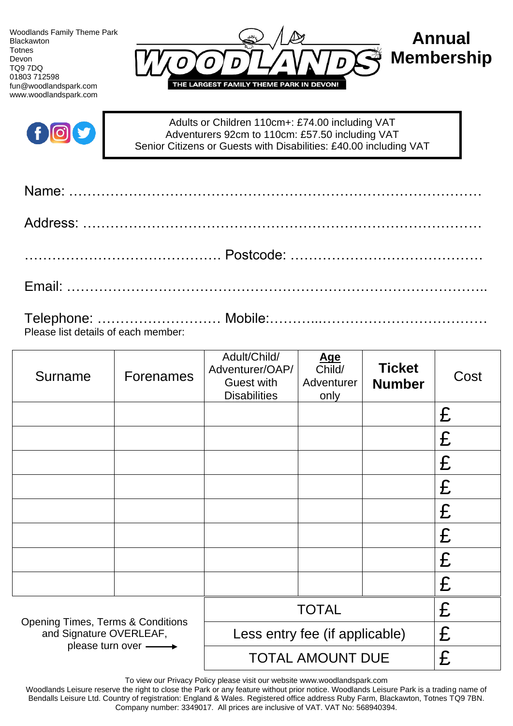Woodlands Family Theme Park Blackawton Totnes Devon TQ9 7DQ 01803 712598 fun@woodlandspark.com www.woodlandspark.com





Adults or Children 110cm+: £74.00 including VAT Adventurers 92cm to 110cm: £57.50 including VAT Senior Citizens or Guests with Disabilities: £40.00 including VAT

| Please list details of each member: |  |
|-------------------------------------|--|

| Surname                                                                 | <b>Forenames</b>               | Adult/Child/<br>Adventurer/OAP/<br><b>Guest with</b><br><b>Disabilities</b> | <u>Age</u><br>Child/<br>Adventurer<br>only | <b>Ticket</b><br><b>Number</b> | Cost |
|-------------------------------------------------------------------------|--------------------------------|-----------------------------------------------------------------------------|--------------------------------------------|--------------------------------|------|
|                                                                         |                                |                                                                             |                                            |                                | £    |
|                                                                         |                                |                                                                             |                                            |                                | £    |
|                                                                         |                                |                                                                             |                                            |                                | £    |
|                                                                         |                                |                                                                             |                                            |                                | £    |
|                                                                         |                                |                                                                             |                                            |                                | £    |
|                                                                         |                                |                                                                             |                                            |                                | £    |
|                                                                         |                                |                                                                             |                                            |                                | £    |
|                                                                         |                                |                                                                             |                                            |                                | £    |
| <b>Opening Times, Terms &amp; Conditions</b><br>and Signature OVERLEAF, | <b>TOTAL</b>                   |                                                                             | £                                          |                                |      |
|                                                                         | Less entry fee (if applicable) |                                                                             | £                                          |                                |      |
| please turn over -                                                      |                                | <b>TOTAL AMOUNT DUE</b>                                                     |                                            |                                | £    |

To view our Privacy Policy please visit our website www.woodlandspark.com

Woodlands Leisure reserve the right to close the Park or any feature without prior notice. Woodlands Leisure Park is a trading name of Bendalls Leisure Ltd. Country of registration: England & Wales. Registered office address Ruby Farm, Blackawton, Totnes TQ9 7BN. Company number: 3349017. All prices are inclusive of VAT. VAT No: 568940394.